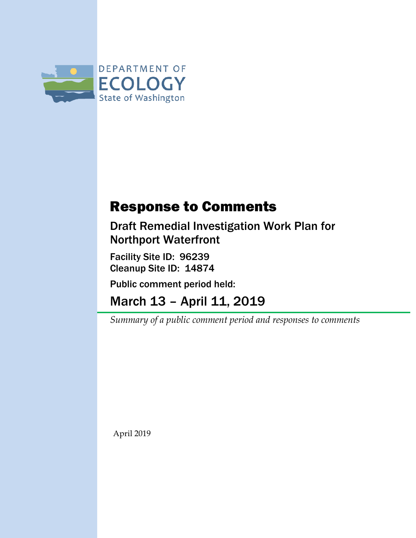

## Response to Comments

Draft Remedial Investigation Work Plan for Northport Waterfront

Facility Site ID: 96239 Cleanup Site ID: 14874

Public comment period held:

March 13 – April 11, 2019

*Summary of a public comment period and responses to comments*

April 2019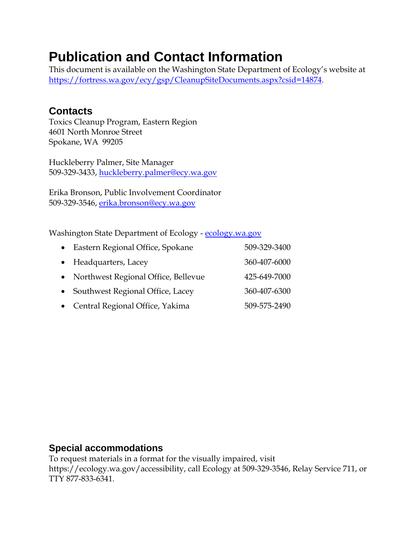## **Publication and Contact Information**

This document is available on the Washington State Department of Ecology's website at [https://fortress.wa.gov/ecy/gsp/CleanupSiteDocuments.aspx?csid=14874.](https://fortress.wa.gov/ecy/gsp/CleanupSiteDocuments.aspx?csid=14874)

### **Contacts**

Toxics Cleanup Program, Eastern Region 4601 North Monroe Street Spokane, WA 99205

Huckleberry Palmer, Site Manager 509-329-3433, [huckleberry.palmer@ecy.wa.gov](mailto:huckleberry.palmer@ecy.wa.gov)

Erika Bronson, Public Involvement Coordinator 509-329-3546, [erika.bronson@ecy.wa.gov](mailto:erika.bronson@ecy.wa.gov)

Washington State Department of Ecology - [ecology.wa.gov](https://ecology.wa.gov/)

| • Eastern Regional Office, Spokane    | 509-329-3400 |
|---------------------------------------|--------------|
| • Headquarters, Lacey                 | 360-407-6000 |
| • Northwest Regional Office, Bellevue | 425-649-7000 |
| • Southwest Regional Office, Lacey    | 360-407-6300 |
| • Central Regional Office, Yakima     | 509-575-2490 |

### **Special accommodations**

To request materials in a format for the visually impaired, visit https://ecology.wa.gov/accessibility, call Ecology at 509-329-3546, Relay Service 711, or TTY 877-833-6341.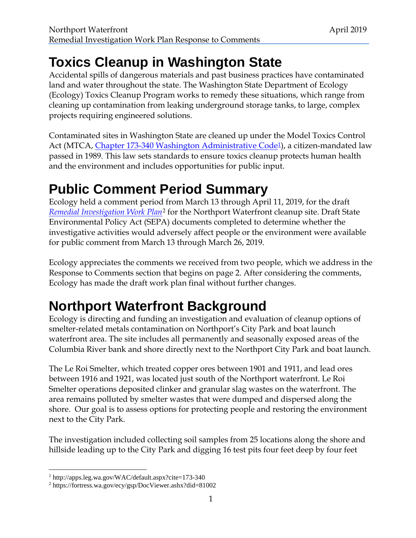# **Toxics Cleanup in Washington State**

Accidental spills of dangerous materials and past business practices have contaminated land and water throughout the state. The Washington State Department of Ecology (Ecology) Toxics Cleanup Program works to remedy these situations, which range from cleaning up contamination from leaking underground storage tanks, to large, complex projects requiring engineered solutions.

Contaminated sites in Washington State are cleaned up under the Model Toxics Control Act (MTCA, [Chapter 173-340 Washington Administrative Code](http://apps.leg.wa.gov/WAC/default.aspx?cite=173-340)<sup>[1](#page-2-0)</sup>), a citizen-mandated law passed in 1989. This law sets standards to ensure toxics cleanup protects human health and the environment and includes opportunities for public input.

# **Public Comment Period Summary**

Ecology held a comment period from March 13 through April 11, 2019, for the draft *[Remedial Investigation Work Plan](https://fortress.wa.gov/ecy/gsp/DocViewer.ashx?did=81002)*[2](#page-2-1) for the Northport Waterfront cleanup site. Draft State Environmental Policy Act (SEPA) documents completed to determine whether the investigative activities would adversely affect people or the environment were available for public comment from March 13 through March 26, 2019.

Ecology appreciates the comments we received from two people, which we address in the Response to Comments section that begins on page 2. After considering the comments, Ecology has made the draft work plan final without further changes.

# **Northport Waterfront Background**

Ecology is directing and funding an investigation and evaluation of cleanup options of smelter-related metals contamination on Northport's City Park and boat launch waterfront area. The site includes all permanently and seasonally exposed areas of the Columbia River bank and shore directly next to the Northport City Park and boat launch.

The Le Roi Smelter, which treated copper ores between 1901 and 1911, and lead ores between 1916 and 1921, was located just south of the Northport waterfront. Le Roi Smelter operations deposited clinker and granular slag wastes on the waterfront. The area remains polluted by smelter wastes that were dumped and dispersed along the shore. Our goal is to assess options for protecting people and restoring the environment next to the City Park.

The investigation included collecting soil samples from 25 locations along the shore and hillside leading up to the City Park and digging 16 test pits four feet deep by four feet

<span id="page-2-0"></span> <sup>1</sup> http://apps.leg.wa.gov/WAC/default.aspx?cite=173-340

<span id="page-2-1"></span><sup>2</sup> https://fortress.wa.gov/ecy/gsp/DocViewer.ashx?did=81002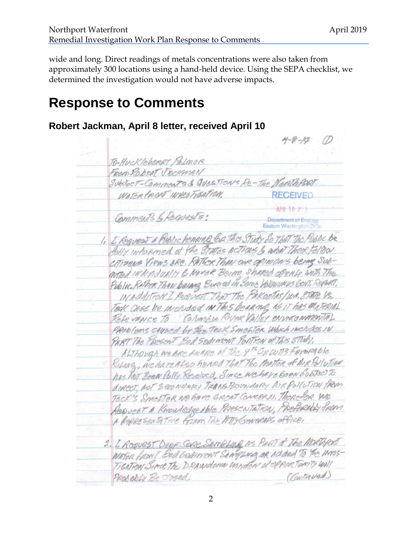wide and long. Direct readings of metals concentrations were also taken from approximately 300 locations using a hand-held device. Using the SEPA checklist, we determined the investigation would not have adverse impacts.

## **Response to Comments**

### **Robert Jackman, April 8 letter, received April 10**

TO-HUCKLEberger Palmor FROM RODERT JECKMAN SubJect-Comments & Question's Re-The Nord WATER FRONT INVESTIGATION. Comments 6 Reguests: 1. I Request A Public henring En This Study do That The Public be folly informed of the STATES ACTIONS & what There Fellow CITIZENS VIEWS ARE. RATHER THAN OUR OPINIONS being SODarted individually & Never Being Shaked openly with The Public Bather Than belong Euried in Some Volumenus GovT, Report? IN ADDITION I Request That The PakeoTas/WA. 8THTE VS. Tock CASE be included IN This Bearing AS IT has MATERIAL Rete vance To Columbia River Valley environmental PROBTEMS CAUSEd by The TECK SMChTER Which INCludes IN PART The PRESENT BER SEDIMENT PORTION OF THIS STUDY. ALTHOUGH WE ARE ANARE OF THE 9th GROUTS FAVORABLE Robert, we have also heard That The Matter of Arg Billotran has not been Bolly Resolved, Since we have been Subject to direct, not secondory TRANSBOUNDARY AIR Pollution from TECK'S SMOLTER WE have EREST CONCERN. Therefor we REQUEST A KNOWLEDGEAble PRESCNTATION, PRESERAbly SPEAN A ROPRESENTATIVE FROM THE ATTY GENERALS OFFICE, 2. I Request Deep Cere Sampling As PART & The MORTHERT WATER FRONT BED SERVINENT SAMPLING OR ADDED TO The INTES-TIGATION SINCE The DRAWDOWN USADON OF OPPORTONITY UNI (Continued) Probably Be closed.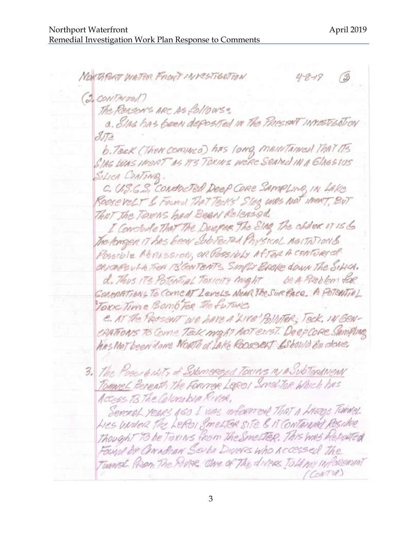NORTHPORT WATER FRONT INVESTIGATION. (2 CONTArvel) The Rensons ARC AS follows: a. Eins has been deposited in the PRESENT INVESTED TION  $STa$ b. Teck (Then common has long mentained That ITS SIAG WAS INSAT AS AS TOKINS WERE SCALED IN A GIAGSIUS SiLICA CONTINO. C. U.S.G.S. CONDECTED Deep CORE SAMPLING IN LAKE RODSCRELT & Found That Tecks' Stag WAS NOT WERT, BUT THAT The TOXINS had Been Released. I Conclude That The Deeper The SING The obder it is & The tengen IT has been Subvected Physical MaiTATIONS Possible MARISSION, OR POSSIbLY AfTER A CONTURGER CANCEPSULA FON ITS CONTENTS SIMPLY BROKE COUNTRE SINCA. d. Thus IT's Potential Toxicity might be A Problem for COMPARTIONS TO COMENT LEVELS NEAR THE SURFACE. A POTENTIAL Toxic Time Bomb For the future. e. AT the PROSENT WE have A LIVE POINTER, TECK, IN GEN-CRAFIONS TO COME TELL MIGHT NOT EXIST. Deep CORE SAMPLING his Mot been done NORTH of LAKE ROOSCAT ESHOULD Be done. 3. The Possibility of Submersed Toxins IN A SubTerANEAN Tomme L Benerath The Former Leper Smelter Which has Access 13 The Colombia River. Serceel years 160 I uns informed That a knope Twine Thought 73 be TOXINS from The Smelter. This was Reported Found by CONADIAN SENDA DIVERS WHO ACCESSED The Tunnel PROM The MUSE ONe of The diverse Told MY INFORCEMENT (CONTU)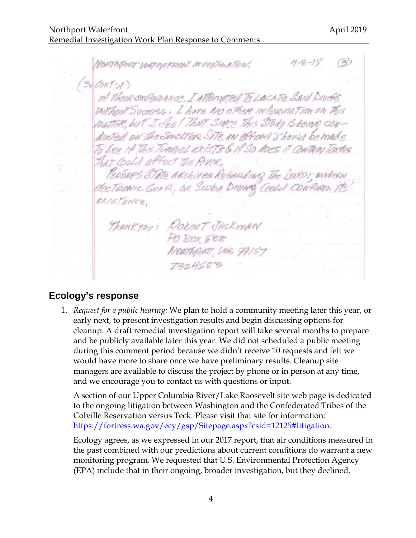NORTHPORT UNITORFRONT IN POSTERTION.  $(3,$  CONT's() of These exclose ance, I attend to LOCATE SAID DIVERS. Without Success, I have NO other INformation on This MATTER, but I feel That SINCE This STUDY IS BEING CONduted on the Smelter SITE IN Offort Should be made To bee if This Tunnel exists & if So does it Contain Toxing THAT COULD EPFECT The RIVER, PERHAPS STATE ARCHIVES REGARDING The LEDEDI, INVOCAN electronic GenR, OR Scuba Drume Coold CONPAM ex/stance. THANKYOU: RODERT JACKMAN NORTHQURT, UM 99157

### **Ecology's response**

1. *Request for a public hearing:* We plan to hold a community meeting later this year, or early next, to present investigation results and begin discussing options for cleanup. A draft remedial investigation report will take several months to prepare and be publicly available later this year. We did not scheduled a public meeting during this comment period because we didn't receive 10 requests and felt we would have more to share once we have preliminary results. Cleanup site managers are available to discuss the project by phone or in person at any time, and we encourage you to contact us with questions or input.

A section of our Upper Columbia River/Lake Roosevelt site web page is dedicated to the ongoing litigation between Washington and the Confederated Tribes of the Colville Reservation versus Teck. Please visit that site for information: [https://fortress.wa.gov/ecy/gsp/Sitepage.aspx?csid=12125#litigation.](https://fortress.wa.gov/ecy/gsp/Sitepage.aspx?csid=12125#litigation)

Ecology agrees, as we expressed in our 2017 report, that air conditions measured in the past combined with our predictions about current conditions do warrant a new monitoring program. We requested that U.S. Environmental Protection Agency (EPA) include that in their ongoing, broader investigation, but they declined.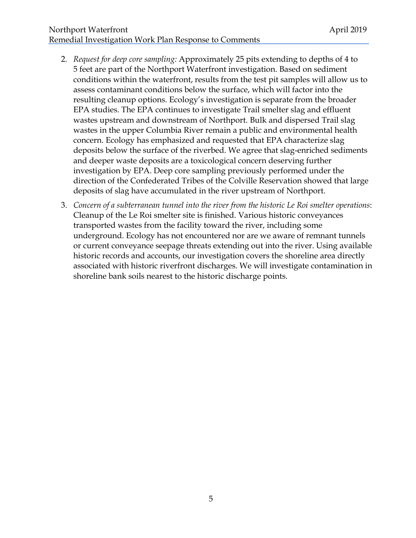#### Northport Waterfront **April 2019** Remedial Investigation Work Plan Response to Comments

- 2. *Request for deep core sampling:* Approximately 25 pits extending to depths of 4 to 5 feet are part of the Northport Waterfront investigation. Based on sediment conditions within the waterfront, results from the test pit samples will allow us to assess contaminant conditions below the surface, which will factor into the resulting cleanup options. Ecology's investigation is separate from the broader EPA studies. The EPA continues to investigate Trail smelter slag and effluent wastes upstream and downstream of Northport. Bulk and dispersed Trail slag wastes in the upper Columbia River remain a public and environmental health concern. Ecology has emphasized and requested that EPA characterize slag deposits below the surface of the riverbed. We agree that slag-enriched sediments and deeper waste deposits are a toxicological concern deserving further investigation by EPA. Deep core sampling previously performed under the direction of the Confederated Tribes of the Colville Reservation showed that large deposits of slag have accumulated in the river upstream of Northport.
- 3. *Concern of a subterranean tunnel into the river from the historic Le Roi smelter operations*: Cleanup of the Le Roi smelter site is finished. Various historic conveyances transported wastes from the facility toward the river, including some underground. Ecology has not encountered nor are we aware of remnant tunnels or current conveyance seepage threats extending out into the river. Using available historic records and accounts, our investigation covers the shoreline area directly associated with historic riverfront discharges. We will investigate contamination in shoreline bank soils nearest to the historic discharge points.